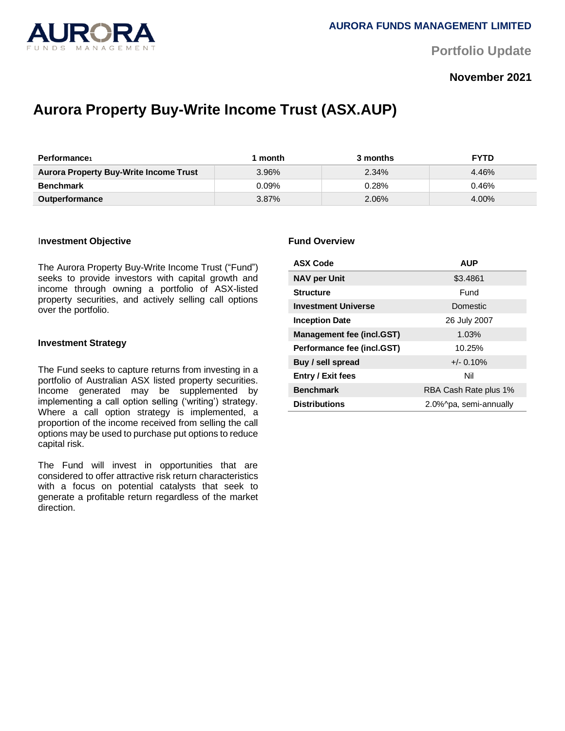

**Portfolio Update** 

## **November 2021**

# **Aurora Property Buy-Write Income Trust (ASX.AUP)**

| Performance                                   | month    | 3 months | <b>FYTD</b> |
|-----------------------------------------------|----------|----------|-------------|
| <b>Aurora Property Buy-Write Income Trust</b> | 3.96%    | 2.34%    | 4.46%       |
| <b>Benchmark</b>                              | $0.09\%$ | 0.28%    | 0.46%       |
| <b>Outperformance</b>                         | $3.87\%$ | 2.06%    | 4.00%       |

#### I**nvestment Objective**

The Aurora Property Buy-Write Income Trust ("Fund") seeks to provide investors with capital growth and income through owning a portfolio of ASX-listed property securities, and actively selling call options over the portfolio.

#### **Investment Strategy**

The Fund seeks to capture returns from investing in a portfolio of Australian ASX listed property securities. Income generated may be supplemented by implementing a call option selling ('writing') strategy. Where a call option strategy is implemented, a proportion of the income received from selling the call options may be used to purchase put options to reduce capital risk.

The Fund will invest in opportunities that are considered to offer attractive risk return characteristics with a focus on potential catalysts that seek to generate a profitable return regardless of the market direction.

#### **Fund Overview**

| <b>ASX Code</b>            | <b>AUP</b>             |  |
|----------------------------|------------------------|--|
| <b>NAV per Unit</b>        | \$3.4861               |  |
| <b>Structure</b>           | Fund                   |  |
| <b>Investment Universe</b> | Domestic               |  |
| <b>Inception Date</b>      | 26 July 2007           |  |
| Management fee (incl.GST)  | 1.03%                  |  |
| Performance fee (incl.GST) | 10.25%                 |  |
| Buy / sell spread          | $+/- 0.10\%$           |  |
| <b>Entry / Exit fees</b>   | Nil                    |  |
| <b>Benchmark</b>           | RBA Cash Rate plus 1%  |  |
| <b>Distributions</b>       | 2.0%^pa, semi-annually |  |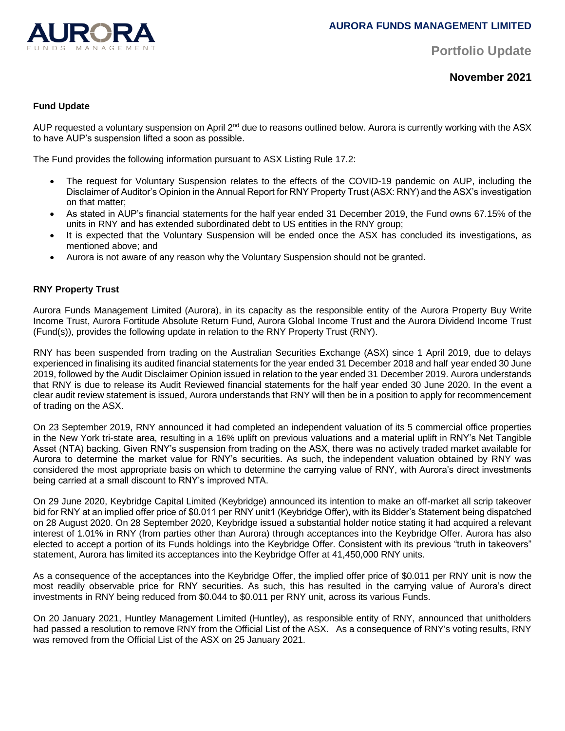

**Portfolio Update** 

**November 2021**

## **Fund Update**

AUP requested a voluntary suspension on April 2<sup>nd</sup> due to reasons outlined below. Aurora is currently working with the ASX to have AUP's suspension lifted a soon as possible.

The Fund provides the following information pursuant to ASX Listing Rule 17.2:

- The request for Voluntary Suspension relates to the effects of the COVID-19 pandemic on AUP, including the Disclaimer of Auditor's Opinion in the Annual Report for RNY Property Trust (ASX: RNY) and the ASX's investigation on that matter;
- As stated in AUP's financial statements for the half year ended 31 December 2019, the Fund owns 67.15% of the units in RNY and has extended subordinated debt to US entities in the RNY group;
- It is expected that the Voluntary Suspension will be ended once the ASX has concluded its investigations, as mentioned above; and
- Aurora is not aware of any reason why the Voluntary Suspension should not be granted.

## **RNY Property Trust**

Aurora Funds Management Limited (Aurora), in its capacity as the responsible entity of the Aurora Property Buy Write Income Trust, Aurora Fortitude Absolute Return Fund, Aurora Global Income Trust and the Aurora Dividend Income Trust (Fund(s)), provides the following update in relation to the RNY Property Trust (RNY).

RNY has been suspended from trading on the Australian Securities Exchange (ASX) since 1 April 2019, due to delays experienced in finalising its audited financial statements for the year ended 31 December 2018 and half year ended 30 June 2019, followed by the Audit Disclaimer Opinion issued in relation to the year ended 31 December 2019. Aurora understands that RNY is due to release its Audit Reviewed financial statements for the half year ended 30 June 2020. In the event a clear audit review statement is issued, Aurora understands that RNY will then be in a position to apply for recommencement of trading on the ASX.

On 23 September 2019, RNY announced it had completed an independent valuation of its 5 commercial office properties in the New York tri-state area, resulting in a 16% uplift on previous valuations and a material uplift in RNY's Net Tangible Asset (NTA) backing. Given RNY's suspension from trading on the ASX, there was no actively traded market available for Aurora to determine the market value for RNY's securities. As such, the independent valuation obtained by RNY was considered the most appropriate basis on which to determine the carrying value of RNY, with Aurora's direct investments being carried at a small discount to RNY's improved NTA.

On 29 June 2020, Keybridge Capital Limited (Keybridge) announced its intention to make an off-market all scrip takeover bid for RNY at an implied offer price of \$0.011 per RNY unit1 (Keybridge Offer), with its Bidder's Statement being dispatched on 28 August 2020. On 28 September 2020, Keybridge issued a substantial holder notice stating it had acquired a relevant interest of 1.01% in RNY (from parties other than Aurora) through acceptances into the Keybridge Offer. Aurora has also elected to accept a portion of its Funds holdings into the Keybridge Offer. Consistent with its previous "truth in takeovers" statement, Aurora has limited its acceptances into the Keybridge Offer at 41,450,000 RNY units.

As a consequence of the acceptances into the Keybridge Offer, the implied offer price of \$0.011 per RNY unit is now the most readily observable price for RNY securities. As such, this has resulted in the carrying value of Aurora's direct investments in RNY being reduced from \$0.044 to \$0.011 per RNY unit, across its various Funds.

On 20 January 2021, Huntley Management Limited (Huntley), as responsible entity of RNY, announced that unitholders had passed a resolution to remove RNY from the Official List of the ASX. As a consequence of RNY's voting results, RNY was removed from the Official List of the ASX on 25 January 2021.